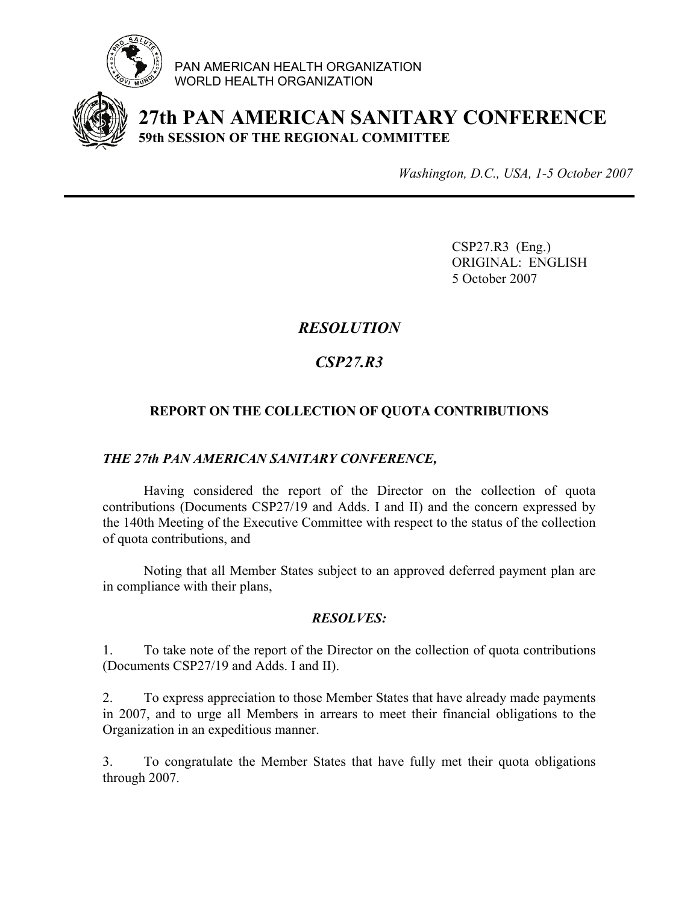

PAN AMERICAN HEALTH ORGANIZATION WORLD HEALTH ORGANIZATION



**27th PAN AMERICAN SANITARY CONFERENCE 59th SESSION OF THE REGIONAL COMMITTEE**

*Washington, D.C., USA, 1-5 October 2007*

 CSP27.R3 (Eng.) ORIGINAL: ENGLISH 5 October 2007

## *RESOLUTION*

# *CSP27.R3*

## **REPORT ON THE COLLECTION OF QUOTA CONTRIBUTIONS**

### *THE 27th PAN AMERICAN SANITARY CONFERENCE,*

 Having considered the report of the Director on the collection of quota contributions (Documents CSP27/19 and Adds. I and II) and the concern expressed by the 140th Meeting of the Executive Committee with respect to the status of the collection of quota contributions, and

 Noting that all Member States subject to an approved deferred payment plan are in compliance with their plans,

### *RESOLVES:*

1. To take note of the report of the Director on the collection of quota contributions (Documents CSP27/19 and Adds. I and II).

2. To express appreciation to those Member States that have already made payments in 2007, and to urge all Members in arrears to meet their financial obligations to the Organization in an expeditious manner.

3. To congratulate the Member States that have fully met their quota obligations through 2007.